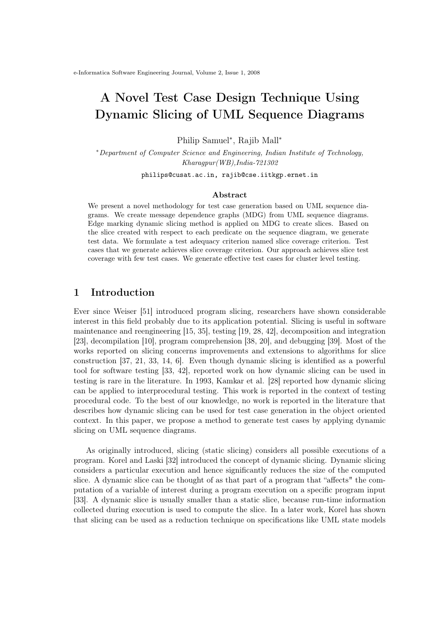# A Novel Test Case Design Technique Using Dynamic Slicing of UML Sequence Diagrams

Philip Samuel<sup>∗</sup> , Rajib Mall<sup>∗</sup>

<sup>∗</sup>Department of Computer Science and Engineering, Indian Institute of Technology, Kharagpur(WB),India-721302

philips@cusat.ac.in, rajib@cse.iitkgp.ernet.in

#### Abstract

We present a novel methodology for test case generation based on UML sequence diagrams. We create message dependence graphs (MDG) from UML sequence diagrams. Edge marking dynamic slicing method is applied on MDG to create slices. Based on the slice created with respect to each predicate on the sequence diagram, we generate test data. We formulate a test adequacy criterion named slice coverage criterion. Test cases that we generate achieves slice coverage criterion. Our approach achieves slice test coverage with few test cases. We generate effective test cases for cluster level testing.

# 1 Introduction

Ever since Weiser [51] introduced program slicing, researchers have shown considerable interest in this field probably due to its application potential. Slicing is useful in software maintenance and reengineering [15, 35], testing [19, 28, 42], decomposition and integration [23], decompilation [10], program comprehension [38, 20], and debugging [39]. Most of the works reported on slicing concerns improvements and extensions to algorithms for slice construction [37, 21, 33, 14, 6]. Even though dynamic slicing is identified as a powerful tool for software testing [33, 42], reported work on how dynamic slicing can be used in testing is rare in the literature. In 1993, Kamkar et al. [28] reported how dynamic slicing can be applied to interprocedural testing. This work is reported in the context of testing procedural code. To the best of our knowledge, no work is reported in the literature that describes how dynamic slicing can be used for test case generation in the object oriented context. In this paper, we propose a method to generate test cases by applying dynamic slicing on UML sequence diagrams.

As originally introduced, slicing (static slicing) considers all possible executions of a program. Korel and Laski [32] introduced the concept of dynamic slicing. Dynamic slicing considers a particular execution and hence significantly reduces the size of the computed slice. A dynamic slice can be thought of as that part of a program that "affects" the computation of a variable of interest during a program execution on a specific program input [33]. A dynamic slice is usually smaller than a static slice, because run-time information collected during execution is used to compute the slice. In a later work, Korel has shown that slicing can be used as a reduction technique on specifications like UML state models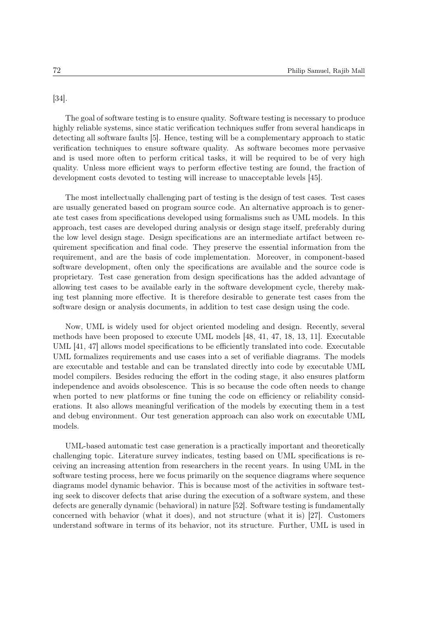[34].

The goal of software testing is to ensure quality. Software testing is necessary to produce highly reliable systems, since static verification techniques suffer from several handicaps in detecting all software faults [5]. Hence, testing will be a complementary approach to static verification techniques to ensure software quality. As software becomes more pervasive and is used more often to perform critical tasks, it will be required to be of very high quality. Unless more efficient ways to perform effective testing are found, the fraction of development costs devoted to testing will increase to unacceptable levels [45].

The most intellectually challenging part of testing is the design of test cases. Test cases are usually generated based on program source code. An alternative approach is to generate test cases from specifications developed using formalisms such as UML models. In this approach, test cases are developed during analysis or design stage itself, preferably during the low level design stage. Design specifications are an intermediate artifact between requirement specification and final code. They preserve the essential information from the requirement, and are the basis of code implementation. Moreover, in component-based software development, often only the specifications are available and the source code is proprietary. Test case generation from design specifications has the added advantage of allowing test cases to be available early in the software development cycle, thereby making test planning more effective. It is therefore desirable to generate test cases from the software design or analysis documents, in addition to test case design using the code.

Now, UML is widely used for object oriented modeling and design. Recently, several methods have been proposed to execute UML models [48, 41, 47, 18, 13, 11]. Executable UML [41, 47] allows model specifications to be efficiently translated into code. Executable UML formalizes requirements and use cases into a set of verifiable diagrams. The models are executable and testable and can be translated directly into code by executable UML model compilers. Besides reducing the effort in the coding stage, it also ensures platform independence and avoids obsolescence. This is so because the code often needs to change when ported to new platforms or fine tuning the code on efficiency or reliability considerations. It also allows meaningful verification of the models by executing them in a test and debug environment. Our test generation approach can also work on executable UML models.

UML-based automatic test case generation is a practically important and theoretically challenging topic. Literature survey indicates, testing based on UML specifications is receiving an increasing attention from researchers in the recent years. In using UML in the software testing process, here we focus primarily on the sequence diagrams where sequence diagrams model dynamic behavior. This is because most of the activities in software testing seek to discover defects that arise during the execution of a software system, and these defects are generally dynamic (behavioral) in nature [52]. Software testing is fundamentally concerned with behavior (what it does), and not structure (what it is) [27]. Customers understand software in terms of its behavior, not its structure. Further, UML is used in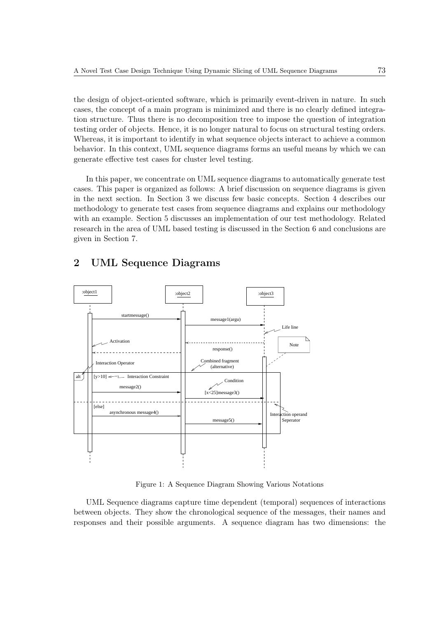the design of object-oriented software, which is primarily event-driven in nature. In such cases, the concept of a main program is minimized and there is no clearly defined integration structure. Thus there is no decomposition tree to impose the question of integration testing order of objects. Hence, it is no longer natural to focus on structural testing orders. Whereas, it is important to identify in what sequence objects interact to achieve a common behavior. In this context, UML sequence diagrams forms an useful means by which we can generate effective test cases for cluster level testing.

In this paper, we concentrate on UML sequence diagrams to automatically generate test cases. This paper is organized as follows: A brief discussion on sequence diagrams is given in the next section. In Section 3 we discuss few basic concepts. Section 4 describes our methodology to generate test cases from sequence diagrams and explains our methodology with an example. Section 5 discusses an implementation of our test methodology. Related research in the area of UML based testing is discussed in the Section 6 and conclusions are given in Section 7.



# 2 UML Sequence Diagrams

Figure 1: A Sequence Diagram Showing Various Notations

UML Sequence diagrams capture time dependent (temporal) sequences of interactions between objects. They show the chronological sequence of the messages, their names and responses and their possible arguments. A sequence diagram has two dimensions: the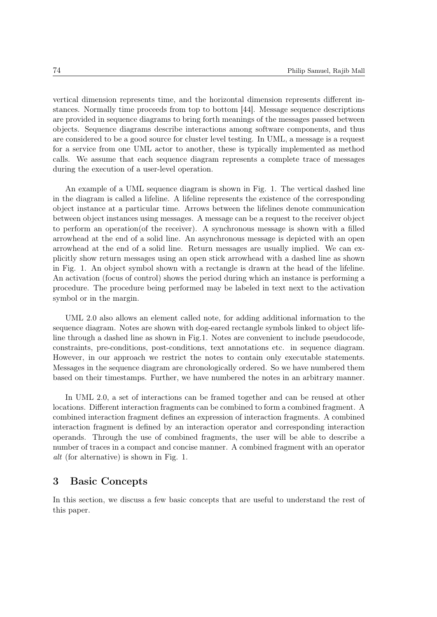vertical dimension represents time, and the horizontal dimension represents different instances. Normally time proceeds from top to bottom [44]. Message sequence descriptions are provided in sequence diagrams to bring forth meanings of the messages passed between objects. Sequence diagrams describe interactions among software components, and thus are considered to be a good source for cluster level testing. In UML, a message is a request for a service from one UML actor to another, these is typically implemented as method calls. We assume that each sequence diagram represents a complete trace of messages during the execution of a user-level operation.

An example of a UML sequence diagram is shown in Fig. 1. The vertical dashed line in the diagram is called a lifeline. A lifeline represents the existence of the corresponding object instance at a particular time. Arrows between the lifelines denote communication between object instances using messages. A message can be a request to the receiver object to perform an operation(of the receiver). A synchronous message is shown with a filled arrowhead at the end of a solid line. An asynchronous message is depicted with an open arrowhead at the end of a solid line. Return messages are usually implied. We can explicitly show return messages using an open stick arrowhead with a dashed line as shown in Fig. 1. An object symbol shown with a rectangle is drawn at the head of the lifeline. An activation (focus of control) shows the period during which an instance is performing a procedure. The procedure being performed may be labeled in text next to the activation symbol or in the margin.

UML 2.0 also allows an element called note, for adding additional information to the sequence diagram. Notes are shown with dog-eared rectangle symbols linked to object lifeline through a dashed line as shown in Fig.1. Notes are convenient to include pseudocode, constraints, pre-conditions, post-conditions, text annotations etc. in sequence diagram. However, in our approach we restrict the notes to contain only executable statements. Messages in the sequence diagram are chronologically ordered. So we have numbered them based on their timestamps. Further, we have numbered the notes in an arbitrary manner.

In UML 2.0, a set of interactions can be framed together and can be reused at other locations. Different interaction fragments can be combined to form a combined fragment. A combined interaction fragment defines an expression of interaction fragments. A combined interaction fragment is defined by an interaction operator and corresponding interaction operands. Through the use of combined fragments, the user will be able to describe a number of traces in a compact and concise manner. A combined fragment with an operator alt (for alternative) is shown in Fig. 1.

# 3 Basic Concepts

In this section, we discuss a few basic concepts that are useful to understand the rest of this paper.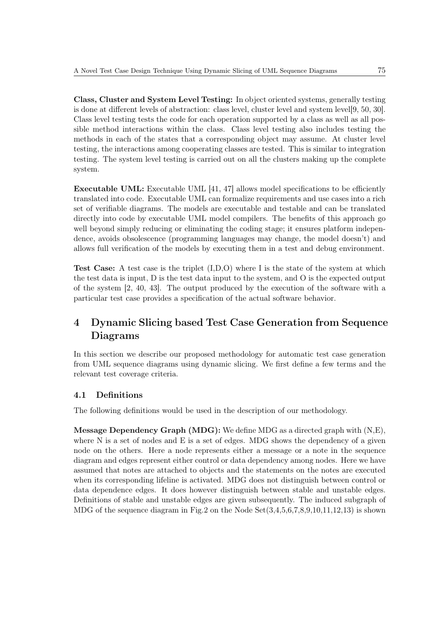Class, Cluster and System Level Testing: In object oriented systems, generally testing is done at different levels of abstraction: class level, cluster level and system level[9, 50, 30]. Class level testing tests the code for each operation supported by a class as well as all possible method interactions within the class. Class level testing also includes testing the methods in each of the states that a corresponding object may assume. At cluster level testing, the interactions among cooperating classes are tested. This is similar to integration testing. The system level testing is carried out on all the clusters making up the complete system.

Executable UML: Executable UML [41, 47] allows model specifications to be efficiently translated into code. Executable UML can formalize requirements and use cases into a rich set of verifiable diagrams. The models are executable and testable and can be translated directly into code by executable UML model compilers. The benefits of this approach go well beyond simply reducing or eliminating the coding stage; it ensures platform independence, avoids obsolescence (programming languages may change, the model doesn't) and allows full verification of the models by executing them in a test and debug environment.

Test Case: A test case is the triplet (I,D,O) where I is the state of the system at which the test data is input, D is the test data input to the system, and O is the expected output of the system [2, 40, 43]. The output produced by the execution of the software with a particular test case provides a specification of the actual software behavior.

# 4 Dynamic Slicing based Test Case Generation from Sequence Diagrams

In this section we describe our proposed methodology for automatic test case generation from UML sequence diagrams using dynamic slicing. We first define a few terms and the relevant test coverage criteria.

# 4.1 Definitions

The following definitions would be used in the description of our methodology.

Message Dependency Graph (MDG): We define MDG as a directed graph with (N,E), where N is a set of nodes and E is a set of edges. MDG shows the dependency of a given node on the others. Here a node represents either a message or a note in the sequence diagram and edges represent either control or data dependency among nodes. Here we have assumed that notes are attached to objects and the statements on the notes are executed when its corresponding lifeline is activated. MDG does not distinguish between control or data dependence edges. It does however distinguish between stable and unstable edges. Definitions of stable and unstable edges are given subsequently. The induced subgraph of MDG of the sequence diagram in Fig.2 on the Node  $Set(3,4,5,6,7,8,9,10,11,12,13)$  is shown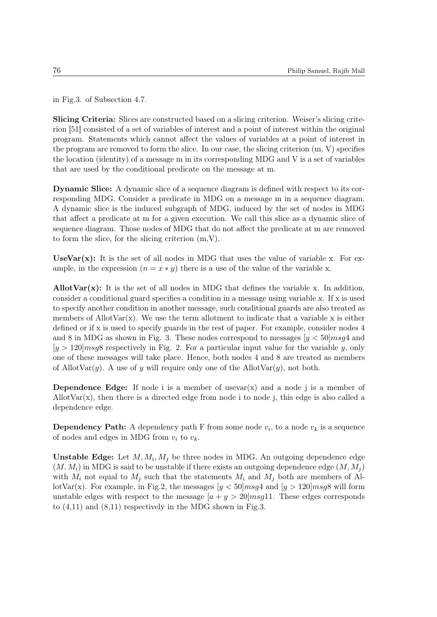in Fig.3. of Subsection 4.7.

Slicing Criteria: Slices are constructed based on a slicing criterion. Weiser's slicing criterion [51] consisted of a set of variables of interest and a point of interest within the original program. Statements which cannot affect the values of variables at a point of interest in the program are removed to form the slice. In our case, the slicing criterion (m, V) specifies the location (identity) of a message m in its corresponding MDG and V is a set of variables that are used by the conditional predicate on the message at m.

Dynamic Slice: A dynamic slice of a sequence diagram is defined with respect to its corresponding MDG. Consider a predicate in MDG on a message m in a sequence diagram. A dynamic slice is the induced subgraph of MDG, induced by the set of nodes in MDG that affect a predicate at m for a given execution. We call this slice as a dynamic slice of sequence diagram. Those nodes of MDG that do not affect the predicate at m are removed to form the slice, for the slicing criterion (m,V).

UseVar $(x)$ : It is the set of all nodes in MDG that uses the value of variable x. For example, in the expression  $(n = x * y)$  there is a use of the value of the variable x.

Allot  $Var(x)$ : It is the set of all nodes in MDG that defines the variable x. In addition, consider a conditional guard specifies a condition in a message using variable x. If x is used to specify another condition in another message, such conditional guards are also treated as members of AllotVar $(x)$ . We use the term allotment to indicate that a variable x is either defined or if x is used to specify guards in the rest of paper. For example, consider nodes 4 and 8 in MDG as shown in Fig. 3. These nodes correspond to messages  $[y < 50]$ *msg*4 and  $[y > 120]$  msgs respectively in Fig. 2. For a particular input value for the variable y, only one of these messages will take place. Hence, both nodes 4 and 8 are treated as members of AllotVar $(y)$ . A use of y will require only one of the AllotVar $(y)$ , not both.

**Dependence Edge:** If node i is a member of usevar $(x)$  and a node j is a member of AllotVar $(x)$ , then there is a directed edge from node i to node j, this edge is also called a dependence edge.

**Dependency Path:** A dependency path F from some node  $v_i$ , to a node  $v_k$  is a sequence of nodes and edges in MDG from  $v_i$  to  $v_k$ .

**Unstable Edge:** Let  $M, M_i, M_j$  be three nodes in MDG. An outgoing dependence edge  $(M, M<sub>i</sub>)$  in MDG is said to be unstable if there exists an outgoing dependence edge  $(M, M<sub>i</sub>)$ with  $M_i$  not equal to  $M_j$  such that the statements  $M_i$  and  $M_j$  both are members of AllotVar(x). For example, in Fig.2, the messages  $y < 50$  msg4 and  $(y > 120$  msg8 will form unstable edges with respect to the message  $[a + y > 20]$  msg11. These edges corresponds to (4,11) and (8,11) respectively in the MDG shown in Fig.3.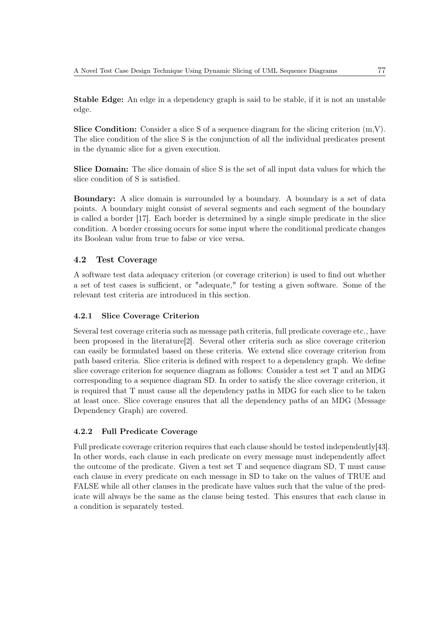Stable Edge: An edge in a dependency graph is said to be stable, if it is not an unstable edge.

**Slice Condition:** Consider a slice S of a sequence diagram for the slicing criterion  $(m, V)$ . The slice condition of the slice S is the conjunction of all the individual predicates present in the dynamic slice for a given execution.

Slice Domain: The slice domain of slice S is the set of all input data values for which the slice condition of S is satisfied.

Boundary: A slice domain is surrounded by a boundary. A boundary is a set of data points. A boundary might consist of several segments and each segment of the boundary is called a border [17]. Each border is determined by a single simple predicate in the slice condition. A border crossing occurs for some input where the conditional predicate changes its Boolean value from true to false or vice versa.

# 4.2 Test Coverage

A software test data adequacy criterion (or coverage criterion) is used to find out whether a set of test cases is sufficient, or "adequate," for testing a given software. Some of the relevant test criteria are introduced in this section.

# 4.2.1 Slice Coverage Criterion

Several test coverage criteria such as message path criteria, full predicate coverage etc., have been proposed in the literature[2]. Several other criteria such as slice coverage criterion can easily be formulated based on these criteria. We extend slice coverage criterion from path based criteria. Slice criteria is defined with respect to a dependency graph. We define slice coverage criterion for sequence diagram as follows: Consider a test set T and an MDG corresponding to a sequence diagram SD. In order to satisfy the slice coverage criterion, it is required that T must cause all the dependency paths in MDG for each slice to be taken at least once. Slice coverage ensures that all the dependency paths of an MDG (Message Dependency Graph) are covered.

# 4.2.2 Full Predicate Coverage

Full predicate coverage criterion requires that each clause should be tested independently [43]. In other words, each clause in each predicate on every message must independently affect the outcome of the predicate. Given a test set T and sequence diagram SD, T must cause each clause in every predicate on each message in SD to take on the values of TRUE and FALSE while all other clauses in the predicate have values such that the value of the predicate will always be the same as the clause being tested. This ensures that each clause in a condition is separately tested.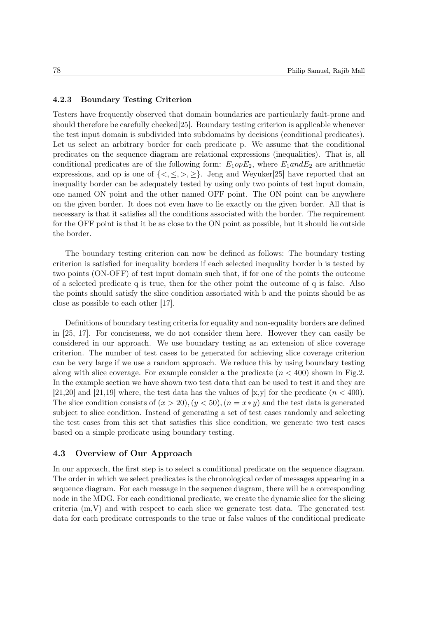#### 4.2.3 Boundary Testing Criterion

Testers have frequently observed that domain boundaries are particularly fault-prone and should therefore be carefully checked[25]. Boundary testing criterion is applicable whenever the test input domain is subdivided into subdomains by decisions (conditional predicates). Let us select an arbitrary border for each predicate p. We assume that the conditional predicates on the sequence diagram are relational expressions (inequalities). That is, all conditional predicates are of the following form:  $E_1 \text{op} E_2$ , where  $E_1 \text{and} E_2$  are arithmetic expressions, and op is one of  $\{\langle\,\rangle,\leq,\geq\}$ . Jeng and Weyuker[25] have reported that an inequality border can be adequately tested by using only two points of test input domain, one named ON point and the other named OFF point. The ON point can be anywhere on the given border. It does not even have to lie exactly on the given border. All that is necessary is that it satisfies all the conditions associated with the border. The requirement for the OFF point is that it be as close to the ON point as possible, but it should lie outside the border.

The boundary testing criterion can now be defined as follows: The boundary testing criterion is satisfied for inequality borders if each selected inequality border b is tested by two points (ON-OFF) of test input domain such that, if for one of the points the outcome of a selected predicate q is true, then for the other point the outcome of q is false. Also the points should satisfy the slice condition associated with b and the points should be as close as possible to each other [17].

Definitions of boundary testing criteria for equality and non-equality borders are defined in [25, 17]. For conciseness, we do not consider them here. However they can easily be considered in our approach. We use boundary testing as an extension of slice coverage criterion. The number of test cases to be generated for achieving slice coverage criterion can be very large if we use a random approach. We reduce this by using boundary testing along with slice coverage. For example consider a the predicate  $(n < 400)$  shown in Fig.2. In the example section we have shown two test data that can be used to test it and they are [21,20] and [21,19] where, the test data has the values of [x,y] for the predicate  $(n < 400)$ . The slice condition consists of  $(x > 20)$ ,  $(y < 50)$ ,  $(n = x \times y)$  and the test data is generated subject to slice condition. Instead of generating a set of test cases randomly and selecting the test cases from this set that satisfies this slice condition, we generate two test cases based on a simple predicate using boundary testing.

#### 4.3 Overview of Our Approach

In our approach, the first step is to select a conditional predicate on the sequence diagram. The order in which we select predicates is the chronological order of messages appearing in a sequence diagram. For each message in the sequence diagram, there will be a corresponding node in the MDG. For each conditional predicate, we create the dynamic slice for the slicing criteria (m,V) and with respect to each slice we generate test data. The generated test data for each predicate corresponds to the true or false values of the conditional predicate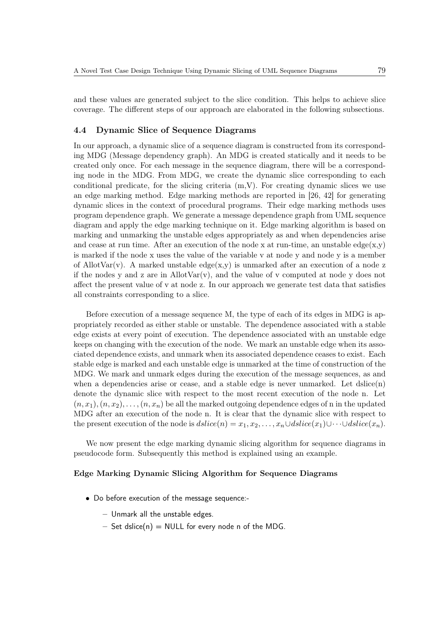and these values are generated subject to the slice condition. This helps to achieve slice coverage. The different steps of our approach are elaborated in the following subsections.

#### 4.4 Dynamic Slice of Sequence Diagrams

In our approach, a dynamic slice of a sequence diagram is constructed from its corresponding MDG (Message dependency graph). An MDG is created statically and it needs to be created only once. For each message in the sequence diagram, there will be a corresponding node in the MDG. From MDG, we create the dynamic slice corresponding to each conditional predicate, for the slicing criteria  $(m,V)$ . For creating dynamic slices we use an edge marking method. Edge marking methods are reported in [26, 42] for generating dynamic slices in the context of procedural programs. Their edge marking methods uses program dependence graph. We generate a message dependence graph from UML sequence diagram and apply the edge marking technique on it. Edge marking algorithm is based on marking and unmarking the unstable edges appropriately as and when dependencies arise and cease at run time. After an execution of the node x at run-time, an unstable edge $(x,y)$ is marked if the node x uses the value of the variable v at node y and node y is a member of AllotVar(v). A marked unstable edge(x,y) is unmarked after an execution of a node z if the nodes y and z are in AllotVar(v), and the value of v computed at node y does not affect the present value of v at node z. In our approach we generate test data that satisfies all constraints corresponding to a slice.

Before execution of a message sequence M, the type of each of its edges in MDG is appropriately recorded as either stable or unstable. The dependence associated with a stable edge exists at every point of execution. The dependence associated with an unstable edge keeps on changing with the execution of the node. We mark an unstable edge when its associated dependence exists, and unmark when its associated dependence ceases to exist. Each stable edge is marked and each unstable edge is unmarked at the time of construction of the MDG. We mark and unmark edges during the execution of the message sequences, as and when a dependencies arise or cease, and a stable edge is never unmarked. Let  $\text{dslice}(n)$ denote the dynamic slice with respect to the most recent execution of the node n. Let  $(n, x_1), (n, x_2), \ldots, (n, x_n)$  be all the marked outgoing dependence edges of n in the updated MDG after an execution of the node n. It is clear that the dynamic slice with respect to the present execution of the node is  $dslice(n) = x_1, x_2, \ldots, x_n \cup dslice(x_1) \cup \cdots \cup dslice(x_n)$ .

We now present the edge marking dynamic slicing algorithm for sequence diagrams in pseudocode form. Subsequently this method is explained using an example.

#### Edge Marking Dynamic Slicing Algorithm for Sequence Diagrams

- Do before execution of the message sequence:-
	- Unmark all the unstable edges.
	- $-$  Set dslice(n) = NULL for every node n of the MDG.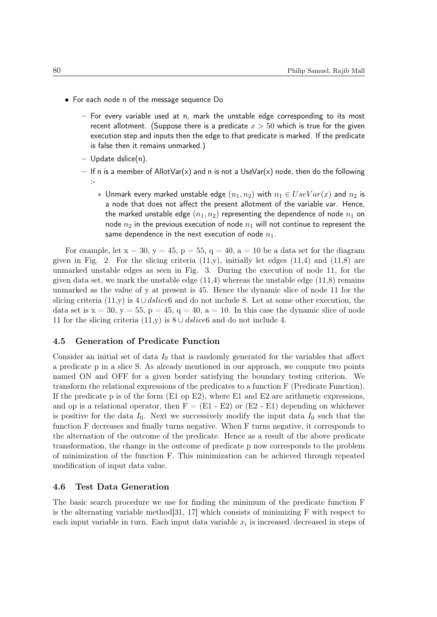- For each node n of the message sequence Do
	- For every variable used at n, mark the unstable edge corresponding to its most recent allotment. (Suppose there is a predicate  $x > 50$  which is true for the given execution step and inputs then the edge to that predicate is marked. If the predicate is false then it remains unmarked.)
	- Update dslice(n).
	- If n is a member of AllotVar(x) and n is not a UseVar(x) node, then do the following :-
		- ∗ Unmark every marked unstable edge  $(n_1, n_2)$  with  $n_1 ∈ UseVar(x)$  and  $n_2$  is a node that does not affect the present allotment of the variable var. Hence, the marked unstable edge  $(n_1, n_2)$  representing the dependence of node  $n_1$  on node  $n_2$  in the previous execution of node  $n_1$  will not continue to represent the same dependence in the next execution of node  $n_1$ .

For example, let  $x = 30$ ,  $y = 45$ ,  $p = 55$ ,  $q = 40$ ,  $a = 10$  be a data set for the diagram given in Fig. 2. For the slicing criteria  $(11,y)$ , initially let edges  $(11,4)$  and  $(11,8)$  are unmarked unstable edges as seen in Fig. 3. During the execution of node 11, for the given data set, we mark the unstable edge  $(11,4)$  whereas the unstable edge  $(11,8)$  remains unmarked as the value of y at present is 45. Hence the dynamic slice of node 11 for the slicing criteria (11,y) is  $4 \cup \text{dslice6}$  and do not include 8. Let at some other execution, the data set is  $x = 30$ ,  $y = 55$ ,  $p = 45$ ,  $q = 40$ ,  $a = 10$ . In this case the dynamic slice of node 11 for the slicing criteria (11,y) is  $8 \cup \text{dslice}$  and do not include 4.

#### 4.5 Generation of Predicate Function

Consider an initial set of data  $I_0$  that is randomly generated for the variables that affect a predicate p in a slice S. As already mentioned in our approach, we compute two points named ON and OFF for a given border satisfying the boundary testing criterion. We transform the relational expressions of the predicates to a function F (Predicate Function). If the predicate p is of the form (E1 op E2), where E1 and E2 are arithmetic expressions, and op is a relational operator, then  $F = (E1 - E2)$  or  $(E2 - E1)$  depending on whichever is positive for the data  $I_0$ . Next we successively modify the input data  $I_0$  such that the function F decreases and finally turns negative. When F turns negative, it corresponds to the alternation of the outcome of the predicate. Hence as a result of the above predicate transformation, the change in the outcome of predicate p now corresponds to the problem of minimization of the function F. This minimization can be achieved through repeated modification of input data value.

#### 4.6 Test Data Generation

The basic search procedure we use for finding the minimum of the predicate function F is the alternating variable method  $[31, 17]$  which consists of minimizing F with respect to each input variable in turn. Each input data variable  $x_i$  is increased/decreased in steps of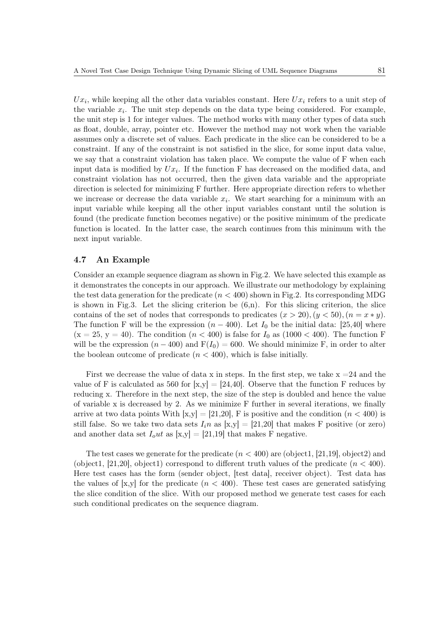$Ux_i$ , while keeping all the other data variables constant. Here  $Ux_i$  refers to a unit step of the variable  $x_i$ . The unit step depends on the data type being considered. For example, the unit step is 1 for integer values. The method works with many other types of data such as float, double, array, pointer etc. However the method may not work when the variable assumes only a discrete set of values. Each predicate in the slice can be considered to be a constraint. If any of the constraint is not satisfied in the slice, for some input data value, we say that a constraint violation has taken place. We compute the value of F when each input data is modified by  $Ux_i$ . If the function F has decreased on the modified data, and constraint violation has not occurred, then the given data variable and the appropriate direction is selected for minimizing F further. Here appropriate direction refers to whether we increase or decrease the data variable  $x_i$ . We start searching for a minimum with an input variable while keeping all the other input variables constant until the solution is found (the predicate function becomes negative) or the positive minimum of the predicate function is located. In the latter case, the search continues from this minimum with the next input variable.

#### 4.7 An Example

Consider an example sequence diagram as shown in Fig.2. We have selected this example as it demonstrates the concepts in our approach. We illustrate our methodology by explaining the test data generation for the predicate  $(n < 400)$  shown in Fig.2. Its corresponding MDG is shown in Fig.3. Let the slicing criterion be  $(6,n)$ . For this slicing criterion, the slice contains of the set of nodes that corresponds to predicates  $(x > 20)$ ,  $(y < 50)$ ,  $(n = x * y)$ . The function F will be the expression  $(n - 400)$ . Let  $I_0$  be the initial data: [25,40] where  $(x = 25, y = 40)$ . The condition  $(n < 400)$  is false for  $I_0$  as  $(1000 < 400)$ . The function F will be the expression  $(n - 400)$  and  $F(I_0) = 600$ . We should minimize F, in order to alter the boolean outcome of predicate  $(n < 400)$ , which is false initially.

First we decrease the value of data x in steps. In the first step, we take  $x = 24$  and the value of F is calculated as 560 for  $[x,y] = [24,40]$ . Observe that the function F reduces by reducing x. Therefore in the next step, the size of the step is doubled and hence the value of variable x is decreased by 2. As we minimize F further in several iterations, we finally arrive at two data points With  $[x,y] = [21,20]$ , F is positive and the condition  $(n < 400)$  is still false. So we take two data sets  $I_i n$  as  $[x,y] = [21,20]$  that makes F positive (or zero) and another data set  $I_0ut$  as  $|x,y| = |21,19|$  that makes F negative.

The test cases we generate for the predicate  $(n < 400)$  are (object1, [21,19], object2) and (object1, [21,20], object1) correspond to different truth values of the predicate  $(n < 400)$ . Here test cases has the form (sender object, [test data], receiver object). Test data has the values of [x,y] for the predicate  $(n < 400)$ . These test cases are generated satisfying the slice condition of the slice. With our proposed method we generate test cases for each such conditional predicates on the sequence diagram.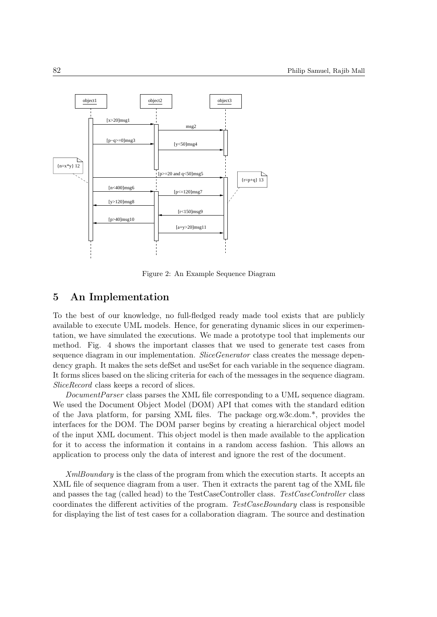

Figure 2: An Example Sequence Diagram

# 5 An Implementation

To the best of our knowledge, no full-fledged ready made tool exists that are publicly available to execute UML models. Hence, for generating dynamic slices in our experimentation, we have simulated the executions. We made a prototype tool that implements our method. Fig. 4 shows the important classes that we used to generate test cases from sequence diagram in our implementation. SliceGenerator class creates the message dependency graph. It makes the sets defSet and useSet for each variable in the sequence diagram. It forms slices based on the slicing criteria for each of the messages in the sequence diagram. SliceRecord class keeps a record of slices.

DocumentParser class parses the XML file corresponding to a UML sequence diagram. We used the Document Object Model (DOM) API that comes with the standard edition of the Java platform, for parsing XML files. The package org.w3c.dom.\*, provides the interfaces for the DOM. The DOM parser begins by creating a hierarchical object model of the input XML document. This object model is then made available to the application for it to access the information it contains in a random access fashion. This allows an application to process only the data of interest and ignore the rest of the document.

XmlBoundary is the class of the program from which the execution starts. It accepts an XML file of sequence diagram from a user. Then it extracts the parent tag of the XML file and passes the tag (called head) to the TestCaseController class. TestCaseController class coordinates the different activities of the program. TestCaseBoundary class is responsible for displaying the list of test cases for a collaboration diagram. The source and destination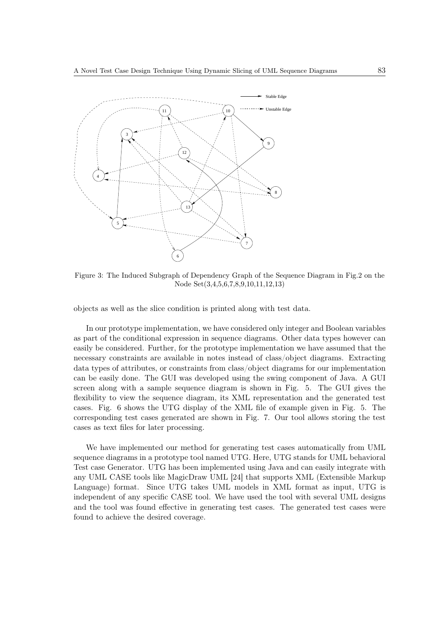

Figure 3: The Induced Subgraph of Dependency Graph of the Sequence Diagram in Fig.2 on the Node Set(3,4,5,6,7,8,9,10,11,12,13)

objects as well as the slice condition is printed along with test data.

In our prototype implementation, we have considered only integer and Boolean variables as part of the conditional expression in sequence diagrams. Other data types however can easily be considered. Further, for the prototype implementation we have assumed that the necessary constraints are available in notes instead of class/object diagrams. Extracting data types of attributes, or constraints from class/object diagrams for our implementation can be easily done. The GUI was developed using the swing component of Java. A GUI screen along with a sample sequence diagram is shown in Fig. 5. The GUI gives the flexibility to view the sequence diagram, its XML representation and the generated test cases. Fig. 6 shows the UTG display of the XML file of example given in Fig. 5. The corresponding test cases generated are shown in Fig. 7. Our tool allows storing the test cases as text files for later processing.

We have implemented our method for generating test cases automatically from UML sequence diagrams in a prototype tool named UTG. Here, UTG stands for UML behavioral Test case Generator. UTG has been implemented using Java and can easily integrate with any UML CASE tools like MagicDraw UML [24] that supports XML (Extensible Markup Language) format. Since UTG takes UML models in XML format as input, UTG is independent of any specific CASE tool. We have used the tool with several UML designs and the tool was found effective in generating test cases. The generated test cases were found to achieve the desired coverage.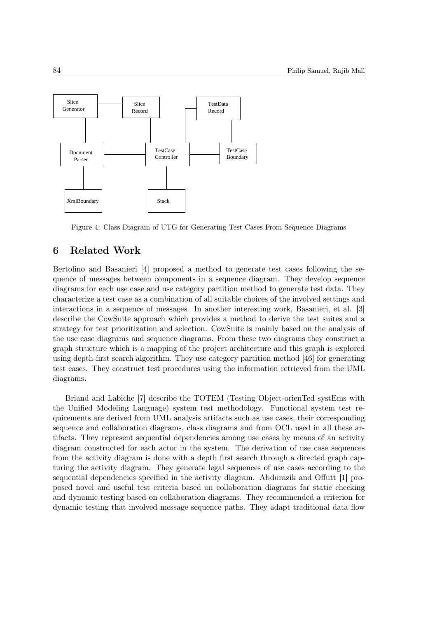

Figure 4: Class Diagram of UTG for Generating Test Cases From Sequence Diagrams

# 6 Related Work

Bertolino and Basanieri [4] proposed a method to generate test cases following the sequence of messages between components in a sequence diagram. They develop sequence diagrams for each use case and use category partition method to generate test data. They characterize a test case as a combination of all suitable choices of the involved settings and interactions in a sequence of messages. In another interesting work, Basanieri, et al. [3] describe the CowSuite approach which provides a method to derive the test suites and a strategy for test prioritization and selection. CowSuite is mainly based on the analysis of the use case diagrams and sequence diagrams. From these two diagrams they construct a graph structure which is a mapping of the project architecture and this graph is explored using depth-first search algorithm. They use category partition method [46] for generating test cases. They construct test procedures using the information retrieved from the UML diagrams.

Briand and Labiche [7] describe the TOTEM (Testing Object-orienTed systEms with the Unified Modeling Language) system test methodology. Functional system test requirements are derived from UML analysis artifacts such as use cases, their corresponding sequence and collaboration diagrams, class diagrams and from OCL used in all these artifacts. They represent sequential dependencies among use cases by means of an activity diagram constructed for each actor in the system. The derivation of use case sequences from the activity diagram is done with a depth first search through a directed graph capturing the activity diagram. They generate legal sequences of use cases according to the sequential dependencies specified in the activity diagram. Abdurazik and Offutt [1] proposed novel and useful test criteria based on collaboration diagrams for static checking and dynamic testing based on collaboration diagrams. They recommended a criterion for dynamic testing that involved message sequence paths. They adapt traditional data flow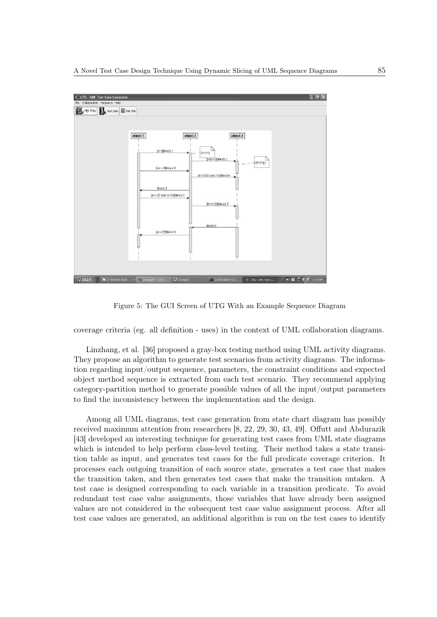

Figure 5: The GUI Screen of UTG With an Example Sequence Diagram

coverage criteria (eg. all definition - uses) in the context of UML collaboration diagrams.

Linzhang, et al. [36] proposed a gray-box testing method using UML activity diagrams. They propose an algorithm to generate test scenarios from activity diagrams. The information regarding input/output sequence, parameters, the constraint conditions and expected object method sequence is extracted from each test scenario. They recommend applying category-partition method to generate possible values of all the input/output parameters to find the inconsistency between the implementation and the design.

Among all UML diagrams, test case generation from state chart diagram has possibly received maximum attention from researchers [8, 22, 29, 30, 43, 49]. Offutt and Abdurazik [43] developed an interesting technique for generating test cases from UML state diagrams which is intended to help perform class-level testing. Their method takes a state transition table as input, and generates test cases for the full predicate coverage criterion. It processes each outgoing transition of each source state, generates a test case that makes the transition taken, and then generates test cases that make the transition untaken. A test case is designed corresponding to each variable in a transition predicate. To avoid redundant test case value assignments, those variables that have already been assigned values are not considered in the subsequent test case value assignment process. After all test case values are generated, an additional algorithm is run on the test cases to identify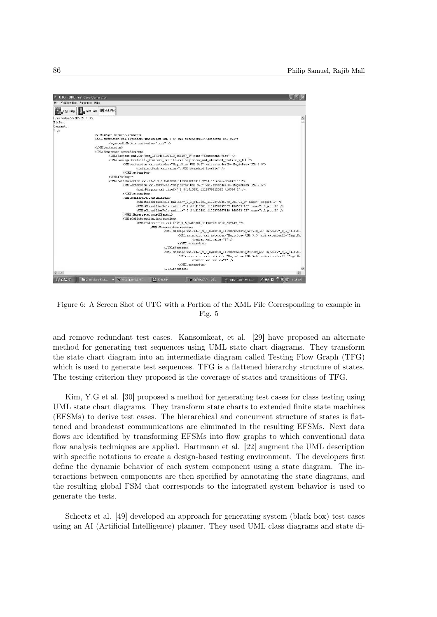$\Box$ e $\mathsf{K}$ UTG - UML Test Case Generato Sequence Help UML Diag. Test Data ID XML File Created: 6/27/05 7:03 PM. Title:.<br>Comment:.  $\overline{B}$ </IML:ModelElement.comment> <XMI.extension xmi.extender="MagicDraw UML 9.5" xmi.extenderID="MagicDraw UML 9.5"> <ionoredInModule xmi.value="true" /> </XMI.extension> <IMI . Name mace\_ounedFlexent> <UML:Package xml.id="eee 1045467100313 365297 7" name="Component View" /> SOME: Package Nail 102 = between DOUS12\_00239/2" hander Component View (2001)<br>CUME: Package herf="UME\_Standard\_Profile.xmllnagicdraw\_uml\_standard\_profile\_v\_0001"><br>CMI.extension Xml.extender="HagicDraw UME\_9.5"><br>CMI.extensi </XHI.extension> %/OHI.extension><br>%/UH1:Pokkage>%/SML+2de",9\_5\_b410281\_1119879212012\_7764\_1" name="Untitled1"><br>%/UH1:Collaboration xmi.id="\_9\_5\_b410281\_1119879212012\_7764\_1" name="Untitled1"><br>%/MI.extension xmi.idref=""\_9\_5\_b410281\_111987  $n$ :Officialmespace.ownedElement<br>
(Officialmespace.ownedElement -  $\frac{d}{dt} = \frac{1}{2}$ , b410281\_1119879235278\_901701\_3" name="cobject 1" /><br>
(Officialmesificatiole xmi.id="\_9\_5\_b410281\_1119879257637\_136533\_15" name="cobject 2" <UML:Collaboration.interaction <UML: Interaction xmi.id=" 9 5 b410281 1119879212012 537447 0">  $\texttt{CURL}: \texttt{Inter}$ :craction.mcssage><br><UML:Message xmi.id="\_9\_5\_b410281\_1119879294372\_626718\_51" sender="\_9\_5\_b410281 <XMI.extension xmi.extender="MagicDraw UML 9.5" xmi.extenderID="MagicDr  $\langle$ number xmi.value="1" /> </XMI.extension> </UML:Message> <UML:Message Xmi.id="\_9\_5\_b410281\_1119879345028\_277989\_65" sender="\_9\_5\_b410281\_<br>XMI.extension\_xmi.extender="MagicDraw UML 9.5" xmi.extenderID="MagicDr <number xmi.value="2" /> communications<br>c/XMT.extensions H<sub>start</sub>  $\mathbb{R}^2$  in  $\mathbb{R}^2$  .

Figure 6: A Screen Shot of UTG with a Portion of the XML File Corresponding to example in Fig. 5

and remove redundant test cases. Kansomkeat, et al. [29] have proposed an alternate method for generating test sequences using UML state chart diagrams. They transform the state chart diagram into an intermediate diagram called Testing Flow Graph (TFG) which is used to generate test sequences. TFG is a flattened hierarchy structure of states. The testing criterion they proposed is the coverage of states and transitions of TFG.

Kim, Y.G et al. [30] proposed a method for generating test cases for class testing using UML state chart diagrams. They transform state charts to extended finite state machines (EFSMs) to derive test cases. The hierarchical and concurrent structure of states is flattened and broadcast communications are eliminated in the resulting EFSMs. Next data flows are identified by transforming EFSMs into flow graphs to which conventional data flow analysis techniques are applied. Hartmann et al. [22] augment the UML description with specific notations to create a design-based testing environment. The developers first define the dynamic behavior of each system component using a state diagram. The interactions between components are then specified by annotating the state diagrams, and the resulting global FSM that corresponds to the integrated system behavior is used to generate the tests.

Scheetz et al. [49] developed an approach for generating system (black box) test cases using an AI (Artificial Intelligence) planner. They used UML class diagrams and state di-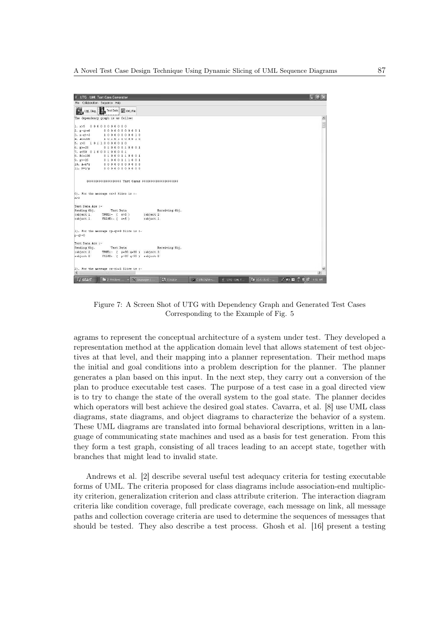

Figure 7: A Screen Shot of UTG with Dependency Graph and Generated Test Cases Corresponding to the Example of Fig. 5

agrams to represent the conceptual architecture of a system under test. They developed a representation method at the application domain level that allows statement of test objectives at that level, and their mapping into a planner representation. Their method maps the initial and goal conditions into a problem description for the planner. The planner generates a plan based on this input. In the next step, they carry out a conversion of the plan to produce executable test cases. The purpose of a test case in a goal directed view is to try to change the state of the overall system to the goal state. The planner decides which operators will best achieve the desired goal states. Cavarra, et al. [8] use UML class diagrams, state diagrams, and object diagrams to characterize the behavior of a system. These UML diagrams are translated into formal behavioral descriptions, written in a language of communicating state machines and used as a basis for test generation. From this they form a test graph, consisting of all traces leading to an accept state, together with branches that might lead to invalid state.

Andrews et al. [2] describe several useful test adequacy criteria for testing executable forms of UML. The criteria proposed for class diagrams include association-end multiplicity criterion, generalization criterion and class attribute criterion. The interaction diagram criteria like condition coverage, full predicate coverage, each message on link, all message paths and collection coverage criteria are used to determine the sequences of messages that should be tested. They also describe a test process. Ghosh et al. [16] present a testing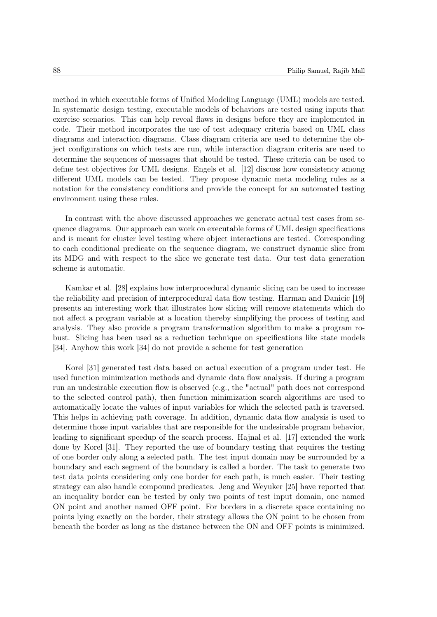method in which executable forms of Unified Modeling Language (UML) models are tested. In systematic design testing, executable models of behaviors are tested using inputs that exercise scenarios. This can help reveal flaws in designs before they are implemented in code. Their method incorporates the use of test adequacy criteria based on UML class diagrams and interaction diagrams. Class diagram criteria are used to determine the object configurations on which tests are run, while interaction diagram criteria are used to determine the sequences of messages that should be tested. These criteria can be used to define test objectives for UML designs. Engels et al. [12] discuss how consistency among different UML models can be tested. They propose dynamic meta modeling rules as a notation for the consistency conditions and provide the concept for an automated testing environment using these rules.

In contrast with the above discussed approaches we generate actual test cases from sequence diagrams. Our approach can work on executable forms of UML design specifications and is meant for cluster level testing where object interactions are tested. Corresponding to each conditional predicate on the sequence diagram, we construct dynamic slice from its MDG and with respect to the slice we generate test data. Our test data generation scheme is automatic.

Kamkar et al. [28] explains how interprocedural dynamic slicing can be used to increase the reliability and precision of interprocedural data flow testing. Harman and Danicic [19] presents an interesting work that illustrates how slicing will remove statements which do not affect a program variable at a location thereby simplifying the process of testing and analysis. They also provide a program transformation algorithm to make a program robust. Slicing has been used as a reduction technique on specifications like state models [34]. Anyhow this work [34] do not provide a scheme for test generation

Korel [31] generated test data based on actual execution of a program under test. He used function minimization methods and dynamic data flow analysis. If during a program run an undesirable execution flow is observed (e.g., the "actual" path does not correspond to the selected control path), then function minimization search algorithms are used to automatically locate the values of input variables for which the selected path is traversed. This helps in achieving path coverage. In addition, dynamic data flow analysis is used to determine those input variables that are responsible for the undesirable program behavior, leading to significant speedup of the search process. Hajnal et al. [17] extended the work done by Korel [31]. They reported the use of boundary testing that requires the testing of one border only along a selected path. The test input domain may be surrounded by a boundary and each segment of the boundary is called a border. The task to generate two test data points considering only one border for each path, is much easier. Their testing strategy can also handle compound predicates. Jeng and Weyuker [25] have reported that an inequality border can be tested by only two points of test input domain, one named ON point and another named OFF point. For borders in a discrete space containing no points lying exactly on the border, their strategy allows the ON point to be chosen from beneath the border as long as the distance between the ON and OFF points is minimized.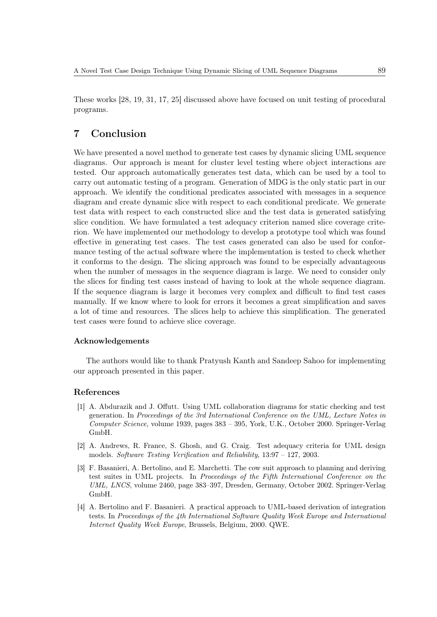These works [28, 19, 31, 17, 25] discussed above have focused on unit testing of procedural programs.

# 7 Conclusion

We have presented a novel method to generate test cases by dynamic slicing UML sequence diagrams. Our approach is meant for cluster level testing where object interactions are tested. Our approach automatically generates test data, which can be used by a tool to carry out automatic testing of a program. Generation of MDG is the only static part in our approach. We identify the conditional predicates associated with messages in a sequence diagram and create dynamic slice with respect to each conditional predicate. We generate test data with respect to each constructed slice and the test data is generated satisfying slice condition. We have formulated a test adequacy criterion named slice coverage criterion. We have implemented our methodology to develop a prototype tool which was found effective in generating test cases. The test cases generated can also be used for conformance testing of the actual software where the implementation is tested to check whether it conforms to the design. The slicing approach was found to be especially advantageous when the number of messages in the sequence diagram is large. We need to consider only the slices for finding test cases instead of having to look at the whole sequence diagram. If the sequence diagram is large it becomes very complex and difficult to find test cases manually. If we know where to look for errors it becomes a great simplification and saves a lot of time and resources. The slices help to achieve this simplification. The generated test cases were found to achieve slice coverage.

#### Acknowledgements

The authors would like to thank Pratyush Kanth and Sandeep Sahoo for implementing our approach presented in this paper.

#### References

- [1] A. Abdurazik and J. Offutt. Using UML collaboration diagrams for static checking and test generation. In Proceedings of the 3rd International Conference on the UML, Lecture Notes in Computer Science, volume 1939, pages 383 – 395, York, U.K., October 2000. Springer-Verlag GmbH.
- [2] A. Andrews, R. France, S. Ghosh, and G. Craig. Test adequacy criteria for UML design models. Software Testing Verification and Reliability, 13:97 – 127, 2003.
- [3] F. Basanieri, A. Bertolino, and E. Marchetti. The cow suit approach to planning and deriving test suites in UML projects. In Proceedings of the Fifth International Conference on the UML, LNCS, volume 2460, page 383–397, Dresden, Germany, October 2002. Springer-Verlag GmbH.
- [4] A. Bertolino and F. Basanieri. A practical approach to UML-based derivation of integration tests. In Proceedings of the 4th International Software Quality Week Europe and International Internet Quality Week Europe, Brussels, Belgium, 2000. QWE.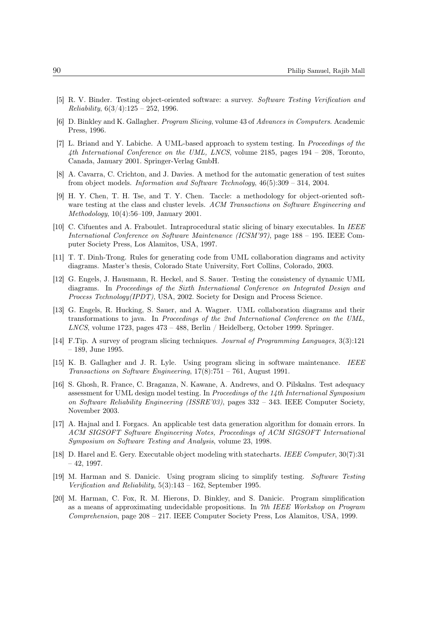- [5] R. V. Binder. Testing object-oriented software: a survey. Software Testing Verification and  $Reliability, 6(3/4):125 - 252, 1996.$
- [6] D. Binkley and K. Gallagher. Program Slicing, volume 43 of Advances in Computers. Academic Press, 1996.
- [7] L. Briand and Y. Labiche. A UML-based approach to system testing. In Proceedings of the 4th International Conference on the UML, LNCS, volume 2185, pages 194 – 208, Toronto, Canada, January 2001. Springer-Verlag GmbH.
- [8] A. Cavarra, C. Crichton, and J. Davies. A method for the automatic generation of test suites from object models. Information and Software Technology, 46(5):309 – 314, 2004.
- [9] H. Y. Chen, T. H. Tse, and T. Y. Chen. Taccle: a methodology for object-oriented software testing at the class and cluster levels. ACM Transactions on Software Engineering and Methodology, 10(4):56–109, January 2001.
- [10] C. Cifuentes and A. Fraboulet. Intraprocedural static slicing of binary executables. In IEEE International Conference on Software Maintenance (ICSM'97), page 188 – 195. IEEE Computer Society Press, Los Alamitos, USA, 1997.
- [11] T. T. Dinh-Trong. Rules for generating code from UML collaboration diagrams and activity diagrams. Master's thesis, Colorado State University, Fort Collins, Colorado, 2003.
- [12] G. Engels, J. Hausmann, R. Heckel, and S. Sauer. Testing the consistency of dynamic UML diagrams. In Proceedings of the Sixth International Conference on Integrated Design and Process Technology(IPDT), USA, 2002. Society for Design and Process Science.
- [13] G. Engels, R. Hucking, S. Sauer, and A. Wagner. UML collaboration diagrams and their transformations to java. In Proceedings of the 2nd International Conference on the UML, LNCS, volume 1723, pages  $473 - 488$ , Berlin / Heidelberg, October 1999. Springer.
- [14] F.Tip. A survey of program slicing techniques. Journal of Programming Languages, 3(3):121 – 189, June 1995.
- [15] K. B. Gallagher and J. R. Lyle. Using program slicing in software maintenance. IEEE Transactions on Software Engineering,  $17(8)$ :751 – 761, August 1991.
- [16] S. Ghosh, R. France, C. Braganza, N. Kawane, A. Andrews, and O. Pilskalns. Test adequacy assessment for UML design model testing. In Proceedings of the 14th International Symposium on Software Reliability Engineering (ISSRE'03), pages 332 – 343. IEEE Computer Society, November 2003.
- [17] A. Hajnal and I. Forgacs. An applicable test data generation algorithm for domain errors. In ACM SIGSOFT Software Engineering Notes, Proceedings of ACM SIGSOFT International Symposium on Software Testing and Analysis, volume 23, 1998.
- [18] D. Harel and E. Gery. Executable object modeling with statecharts. IEEE Computer, 30(7):31 – 42, 1997.
- [19] M. Harman and S. Danicic. Using program slicing to simplify testing. Software Testing Verification and Reliability, 5(3):143 – 162, September 1995.
- [20] M. Harman, C. Fox, R. M. Hierons, D. Binkley, and S. Danicic. Program simplification as a means of approximating undecidable propositions. In 7th IEEE Workshop on Program Comprehension, page 208 – 217. IEEE Computer Society Press, Los Alamitos, USA, 1999.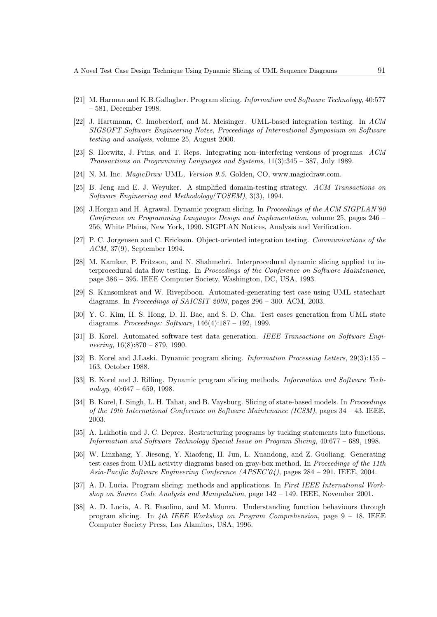- [21] M. Harman and K.B.Gallagher. Program slicing. Information and Software Technology, 40:577 – 581, December 1998.
- [22] J. Hartmann, C. Imoberdorf, and M. Meisinger. UML-based integration testing. In ACM SIGSOFT Software Engineering Notes, Proceedings of International Symposium on Software testing and analysis, volume 25, August 2000.
- [23] S. Horwitz, J. Prins, and T. Reps. Integrating non–interfering versions of programs. ACM Transactions on Programming Languages and Systems, 11(3):345 – 387, July 1989.
- [24] N. M. Inc. *MagicDraw* UML, Version 9.5. Golden, CO, www.magicdraw.com.
- [25] B. Jeng and E. J. Weyuker. A simplified domain-testing strategy. ACM Transactions on Software Engineering and Methodology(TOSEM), 3(3), 1994.
- [26] J.Horgan and H. Agrawal. Dynamic program slicing. In Proceedings of the ACM SIGPLAN'90 Conference on Programming Languages Design and Implementation, volume 25, pages 246 – 256, White Plains, New York, 1990. SIGPLAN Notices, Analysis and Verification.
- [27] P. C. Jorgensen and C. Erickson. Object-oriented integration testing. Communications of the ACM, 37(9), September 1994.
- [28] M. Kamkar, P. Fritzson, and N. Shahmehri. Interprocedural dynamic slicing applied to interprocedural data flow testing. In Proceedings of the Conference on Software Maintenance, page 386 – 395. IEEE Computer Society, Washington, DC, USA, 1993.
- [29] S. Kansomkeat and W. Rivepiboon. Automated-generating test case using UML statechart diagrams. In Proceedings of SAICSIT 2003, pages 296 - 300. ACM, 2003.
- [30] Y. G. Kim, H. S. Hong, D. H. Bae, and S. D. Cha. Test cases generation from UML state diagrams. Proceedings: Software, 146(4):187 – 192, 1999.
- [31] B. Korel. Automated software test data generation. IEEE Transactions on Software Engineering,  $16(8):870 - 879$ , 1990.
- [32] B. Korel and J.Laski. Dynamic program slicing. Information Processing Letters, 29(3):155 163, October 1988.
- [33] B. Korel and J. Rilling. Dynamic program slicing methods. Information and Software Tech $nology, 40:647 - 659, 1998.$
- [34] B. Korel, I. Singh, L. H. Tahat, and B. Vaysburg. Slicing of state-based models. In Proceedings of the 19th International Conference on Software Maintenance (ICSM), pages 34 – 43. IEEE, 2003.
- [35] A. Lakhotia and J. C. Deprez. Restructuring programs by tucking statements into functions. Information and Software Technology Special Issue on Program Slicing, 40:677 – 689, 1998.
- [36] W. Linzhang, Y. Jiesong, Y. Xiaofeng, H. Jun, L. Xuandong, and Z. Guoliang. Generating test cases from UML activity diagrams based on gray-box method. In Proceedings of the 11th Asia-Pacific Software Engineering Conference (APSEC'04), pages 284 – 291. IEEE, 2004.
- [37] A. D. Lucia. Program slicing: methods and applications. In First IEEE International Workshop on Source Code Analysis and Manipulation, page 142 – 149. IEEE, November 2001.
- [38] A. D. Lucia, A. R. Fasolino, and M. Munro. Understanding function behaviours through program slicing. In 4th IEEE Workshop on Program Comprehension, page  $9 - 18$ . IEEE Computer Society Press, Los Alamitos, USA, 1996.